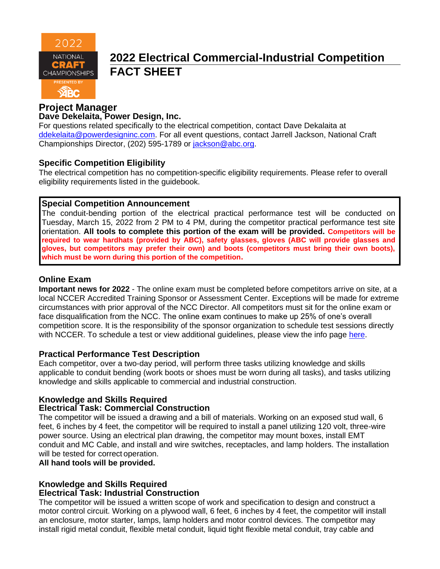

# **2022 Electrical Commercial-Industrial Competition FACT SHEET**

## **Project Manager**

#### **Dave Dekelaita, Power Design, Inc.**

For questions related specifically to the electrical competition, contact Dave Dekalaita at [ddekelaita@powerdesigninc.com.](mailto:ddekelaita@powerdesigninc.com) For all event questions, contact Jarrell Jackson, National Craft Championships Director, (202) 595-1789 or [jackson@abc.org.](mailto:jackson@abc.org)

### **Specific Competition Eligibility**

The electrical competition has no competition-specific eligibility requirements. Please refer to overall eligibility requirements listed in the guidebook.

### **Special Competition Announcement**

The conduit-bending portion of the electrical practical performance test will be conducted on Tuesday, March 15, 2022 from 2 PM to 4 PM, during the competitor practical performance test site orientation. **All tools to complete this portion of the exam will be provided. Competitors will be required to wear hardhats (provided by ABC), safety glasses, gloves (ABC will provide glasses and gloves, but competitors may prefer their own) and boots (competitors must bring their own boots), which must be worn during this portion of the competition.**

### **Online Exam**

**Important news for 2022** - The online exam must be completed before competitors arrive on site, at a local NCCER Accredited Training Sponsor or Assessment Center. Exceptions will be made for extreme circumstances with prior approval of the NCC Director. All competitors must sit for the online exam or face disqualification from the NCC. The online exam continues to make up 25% of one's overall competition score. It is the responsibility of the sponsor organization to schedule test sessions directly with NCCER. To schedule a test or view additional guidelines, please view the info page [here.](https://abc.org/Portals/1/NCC/National%20Craft%20Championship%20Testing%20Overview%20and%20Registration.pdf?ver=2022-01-31-154655-600)

#### **Practical Performance Test Description**

Each competitor, over a two-day period, will perform three tasks utilizing knowledge and skills applicable to conduit bending (work boots or shoes must be worn during all tasks), and tasks utilizing knowledge and skills applicable to commercial and industrial construction.

## **Knowledge and Skills Required**

#### **Electrical Task: Commercial Construction**

The competitor will be issued a drawing and a bill of materials. Working on an exposed stud wall, 6 feet, 6 inches by 4 feet, the competitor will be required to install a panel utilizing 120 volt, three-wire power source. Using an electrical plan drawing, the competitor may mount boxes, install EMT conduit and MC Cable, and install and wire switches, receptacles, and lamp holders. The installation will be tested for correct operation.

#### **All hand tools will be provided.**

#### **Knowledge and Skills Required Electrical Task: Industrial Construction**

The competitor will be issued a written scope of work and specification to design and construct a motor control circuit. Working on a plywood wall, 6 feet, 6 inches by 4 feet, the competitor will install an enclosure, motor starter, lamps, lamp holders and motor control devices. The competitor may install rigid metal conduit, flexible metal conduit, liquid tight flexible metal conduit, tray cable and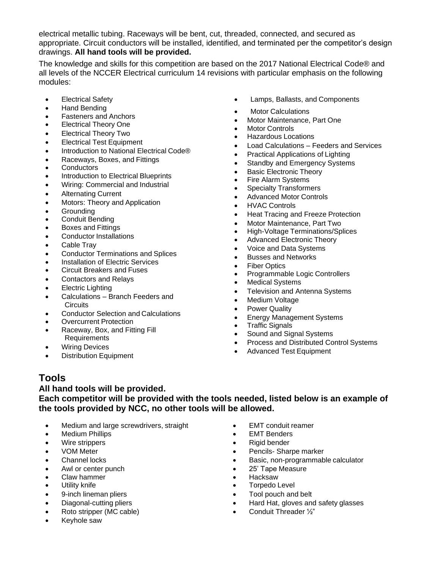electrical metallic tubing. Raceways will be bent, cut, threaded, connected, and secured as appropriate. Circuit conductors will be installed, identified, and terminated per the competitor's design drawings. **All hand tools will be provided.**

The knowledge and skills for this competition are based on the 2017 National Electrical Code® and all levels of the NCCER Electrical curriculum 14 revisions with particular emphasis on the following modules:

- Electrical Safety
- Hand Bending
- Fasteners and Anchors
- Electrical Theory One
- Electrical Theory Two
- Electrical Test Equipment
- Introduction to National Electrical Code®
- Raceways, Boxes, and Fittings
- Conductors
- Introduction to Electrical Blueprints
- Wiring: Commercial and Industrial
- Alternating Current
- Motors: Theory and Application
- Grounding
- Conduit Bending
- Boxes and Fittings
- Conductor Installations
- Cable Tray
- Conductor Terminations and Splices
- Installation of Electric Services
- Circuit Breakers and Fuses
- Contactors and Relays
- Electric Lighting
- Calculations Branch Feeders and **Circuits**
- Conductor Selection and Calculations
- **Overcurrent Protection**
- Raceway, Box, and Fitting Fill Requirements
- Wiring Devices
- **Distribution Equipment**
- Lamps, Ballasts, and Components
- Motor Calculations
- Motor Maintenance, Part One
- **Motor Controls**
- Hazardous Locations
- Load Calculations Feeders and Services
- Practical Applications of Lighting
- Standby and Emergency Systems
- Basic Electronic Theory
- Fire Alarm Systems
- Specialty Transformers
- Advanced Motor Controls
- HVAC Controls
- Heat Tracing and Freeze Protection
- Motor Maintenance, Part Two
- High-Voltage Terminations/Splices
- Advanced Electronic Theory
- Voice and Data Systems
- Busses and Networks
- Fiber Optics
- Programmable Logic Controllers
- Medical Systems
- Television and Antenna Systems
- Medium Voltage
- Power Quality
- Energy Management Systems
- Traffic Signals
- Sound and Signal Systems
- Process and Distributed Control Systems
- Advanced Test Equipment

## **Tools**

#### **All hand tools will be provided.**

**Each competitor will be provided with the tools needed, listed below is an example of the tools provided by NCC, no other tools will be allowed.**

- Medium and large screwdrivers, straight
- Medium Phillips
- Wire strippers
- VOM Meter
- Channel locks
- Awl or center punch
- Claw hammer
- Utility knife
- 9-inch lineman pliers
- Diagonal-cutting pliers
- Roto stripper (MC cable)
- Keyhole saw
- EMT conduit reamer
- **EMT Benders**
- Rigid bender
- Pencils- Sharpe marker
- Basic, non-programmable calculator
- 25' Tape Measure
- Hacksaw
- Torpedo Level
- Tool pouch and belt
- Hard Hat, gloves and safety glasses
- Conduit Threader ½"